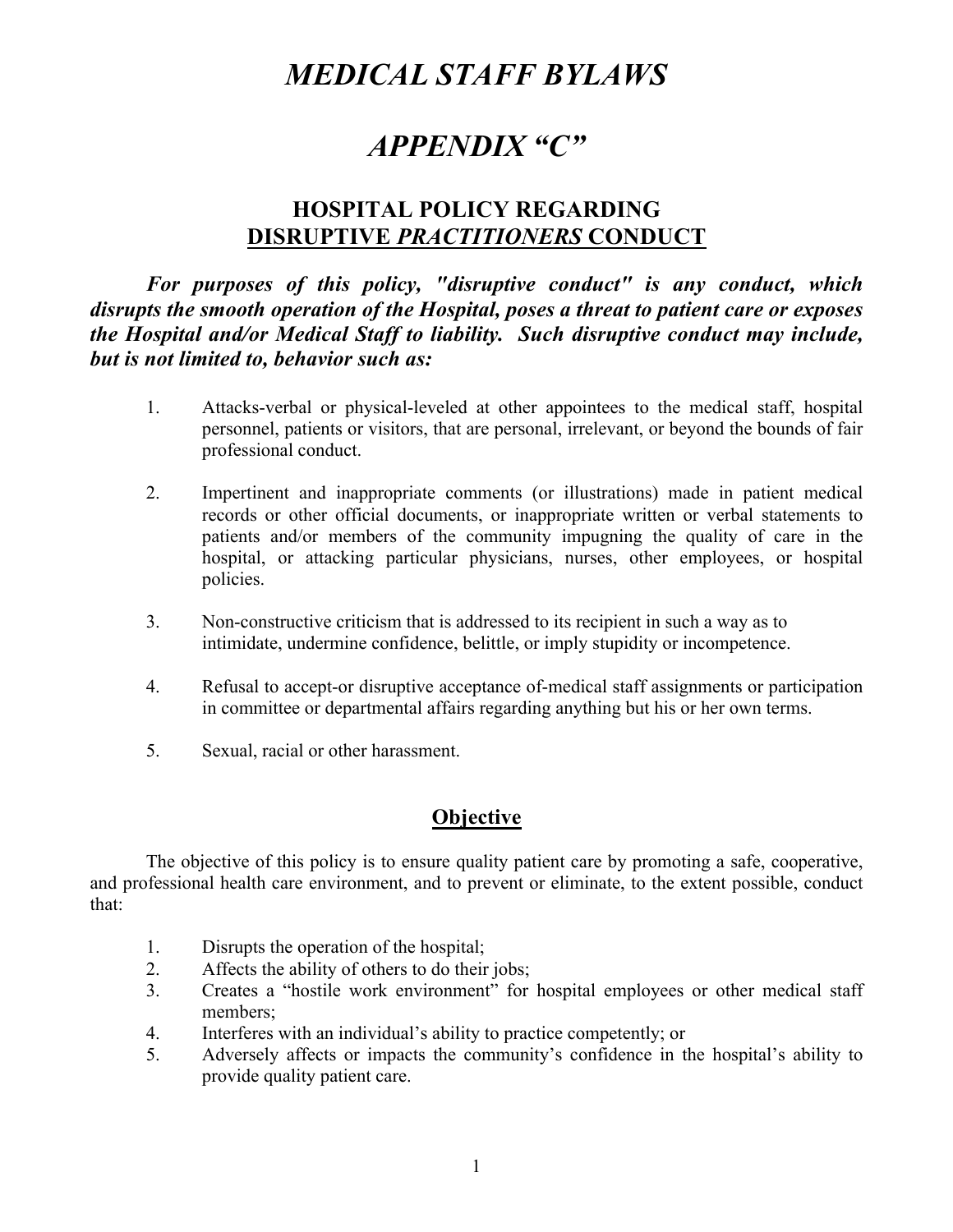# *MEDICAL STAFF BYLAWS*

# *APPENDIX "C"*

## **HOSPITAL POLICY REGARDING DISRUPTIVE** *PRACTITIONERS* **CONDUCT**

*For purposes of this policy, "disruptive conduct" is any conduct, which disrupts the smooth operation of the Hospital, poses a threat to patient care or exposes the Hospital and/or Medical Staff to liability. Such disruptive conduct may include, but is not limited to, behavior such as:*

- 1. Attacks-verbal or physical-leveled at other appointees to the medical staff, hospital personnel, patients or visitors, that are personal, irrelevant, or beyond the bounds of fair professional conduct.
- 2. Impertinent and inappropriate comments (or illustrations) made in patient medical records or other official documents, or inappropriate written or verbal statements to patients and/or members of the community impugning the quality of care in the hospital, or attacking particular physicians, nurses, other employees, or hospital policies.
- 3. Non-constructive criticism that is addressed to its recipient in such a way as to intimidate, undermine confidence, belittle, or imply stupidity or incompetence.
- 4. Refusal to accept-or disruptive acceptance of-medical staff assignments or participation in committee or departmental affairs regarding anything but his or her own terms.
- 5. Sexual, racial or other harassment.

## **Objective**

The objective of this policy is to ensure quality patient care by promoting a safe, cooperative, and professional health care environment, and to prevent or eliminate, to the extent possible, conduct that:

- 1. Disrupts the operation of the hospital;
- 2. Affects the ability of others to do their jobs;
- 3. Creates a "hostile work environment" for hospital employees or other medical staff members;
- 4. Interferes with an individual's ability to practice competently; or
- 5. Adversely affects or impacts the community's confidence in the hospital's ability to provide quality patient care.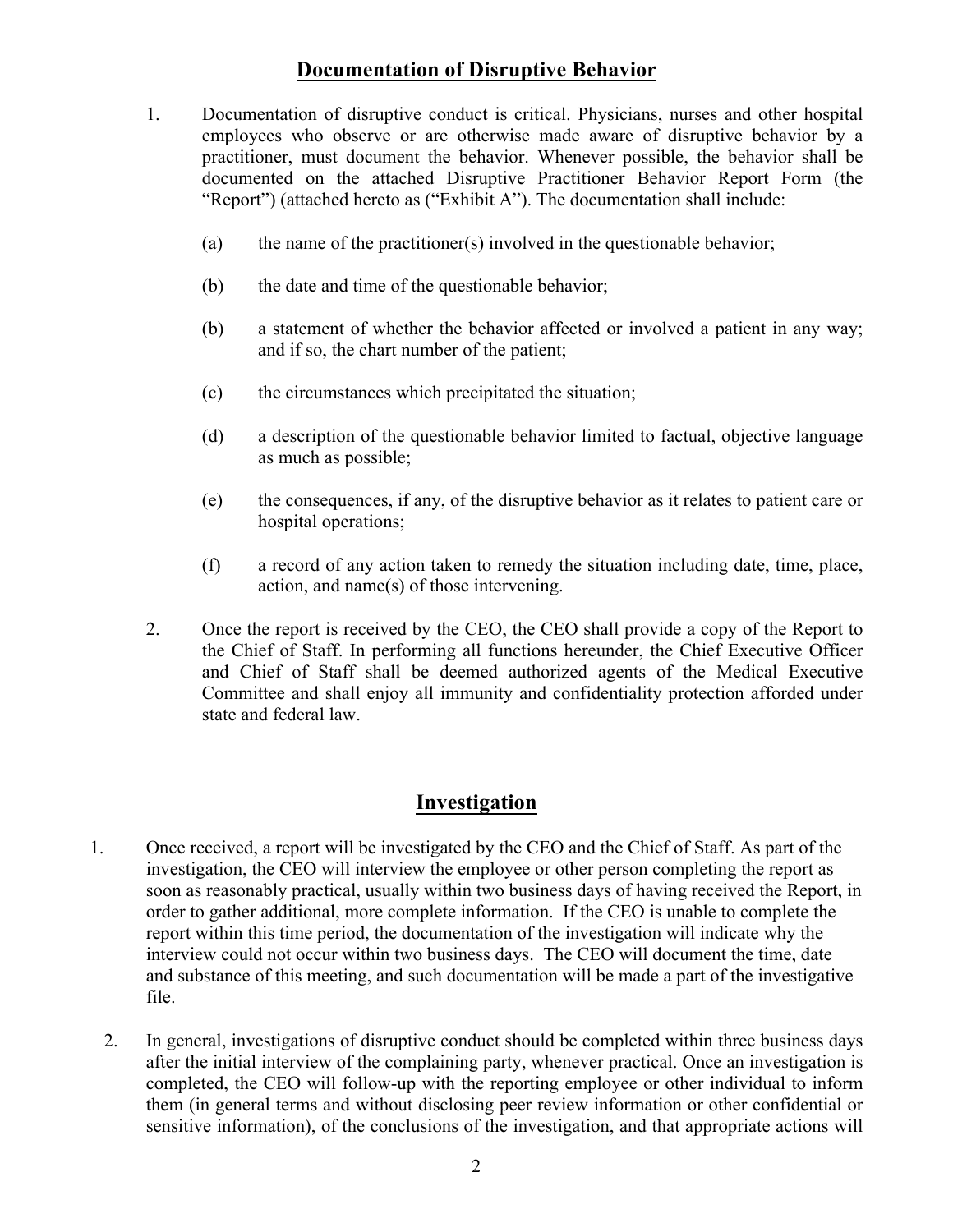## **Documentation of Disruptive Behavior**

- 1. Documentation of disruptive conduct is critical. Physicians, nurses and other hospital employees who observe or are otherwise made aware of disruptive behavior by a practitioner, must document the behavior. Whenever possible, the behavior shall be documented on the attached Disruptive Practitioner Behavior Report Form (the "Report") (attached hereto as ("Exhibit A"). The documentation shall include:
	- (a) the name of the practitioner(s) involved in the questionable behavior;
	- (b) the date and time of the questionable behavior;
	- (b) a statement of whether the behavior affected or involved a patient in any way; and if so, the chart number of the patient;
	- (c) the circumstances which precipitated the situation;
	- (d) a description of the questionable behavior limited to factual, objective language as much as possible;
	- (e) the consequences, if any, of the disruptive behavior as it relates to patient care or hospital operations;
	- (f) a record of any action taken to remedy the situation including date, time, place, action, and name(s) of those intervening.
- 2. Once the report is received by the CEO, the CEO shall provide a copy of the Report to the Chief of Staff. In performing all functions hereunder, the Chief Executive Officer and Chief of Staff shall be deemed authorized agents of the Medical Executive Committee and shall enjoy all immunity and confidentiality protection afforded under state and federal law.

## **Investigation**

- 1. Once received, a report will be investigated by the CEO and the Chief of Staff. As part of the investigation, the CEO will interview the employee or other person completing the report as soon as reasonably practical, usually within two business days of having received the Report, in order to gather additional, more complete information. If the CEO is unable to complete the report within this time period, the documentation of the investigation will indicate why the interview could not occur within two business days. The CEO will document the time, date and substance of this meeting, and such documentation will be made a part of the investigative file.
	- 2. In general, investigations of disruptive conduct should be completed within three business days after the initial interview of the complaining party, whenever practical. Once an investigation is completed, the CEO will follow-up with the reporting employee or other individual to inform them (in general terms and without disclosing peer review information or other confidential or sensitive information), of the conclusions of the investigation, and that appropriate actions will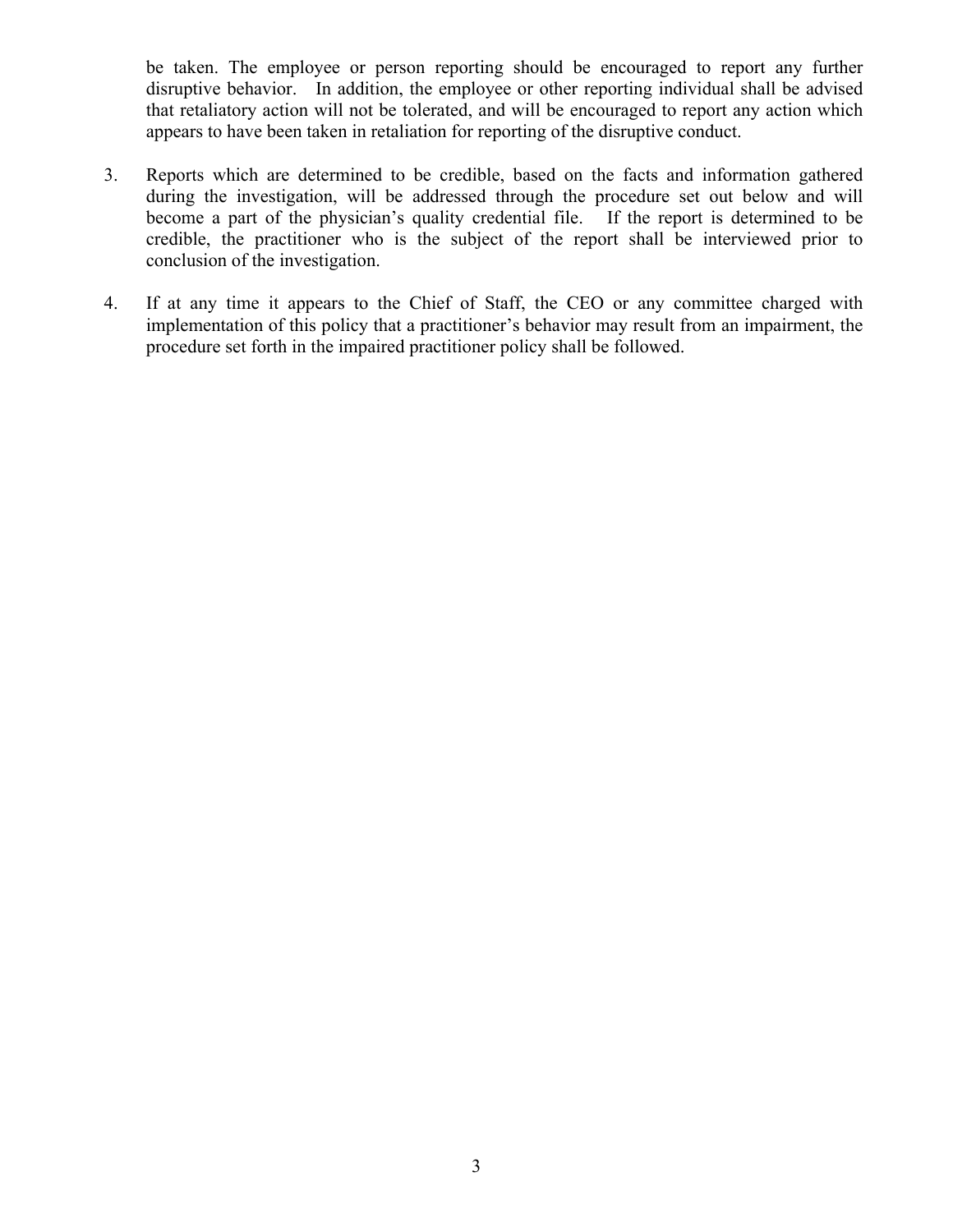be taken. The employee or person reporting should be encouraged to report any further disruptive behavior. In addition, the employee or other reporting individual shall be advised that retaliatory action will not be tolerated, and will be encouraged to report any action which appears to have been taken in retaliation for reporting of the disruptive conduct.

- 3. Reports which are determined to be credible, based on the facts and information gathered during the investigation, will be addressed through the procedure set out below and will become a part of the physician's quality credential file. If the report is determined to be credible, the practitioner who is the subject of the report shall be interviewed prior to conclusion of the investigation.
- 4. If at any time it appears to the Chief of Staff, the CEO or any committee charged with implementation of this policy that a practitioner's behavior may result from an impairment, the procedure set forth in the impaired practitioner policy shall be followed.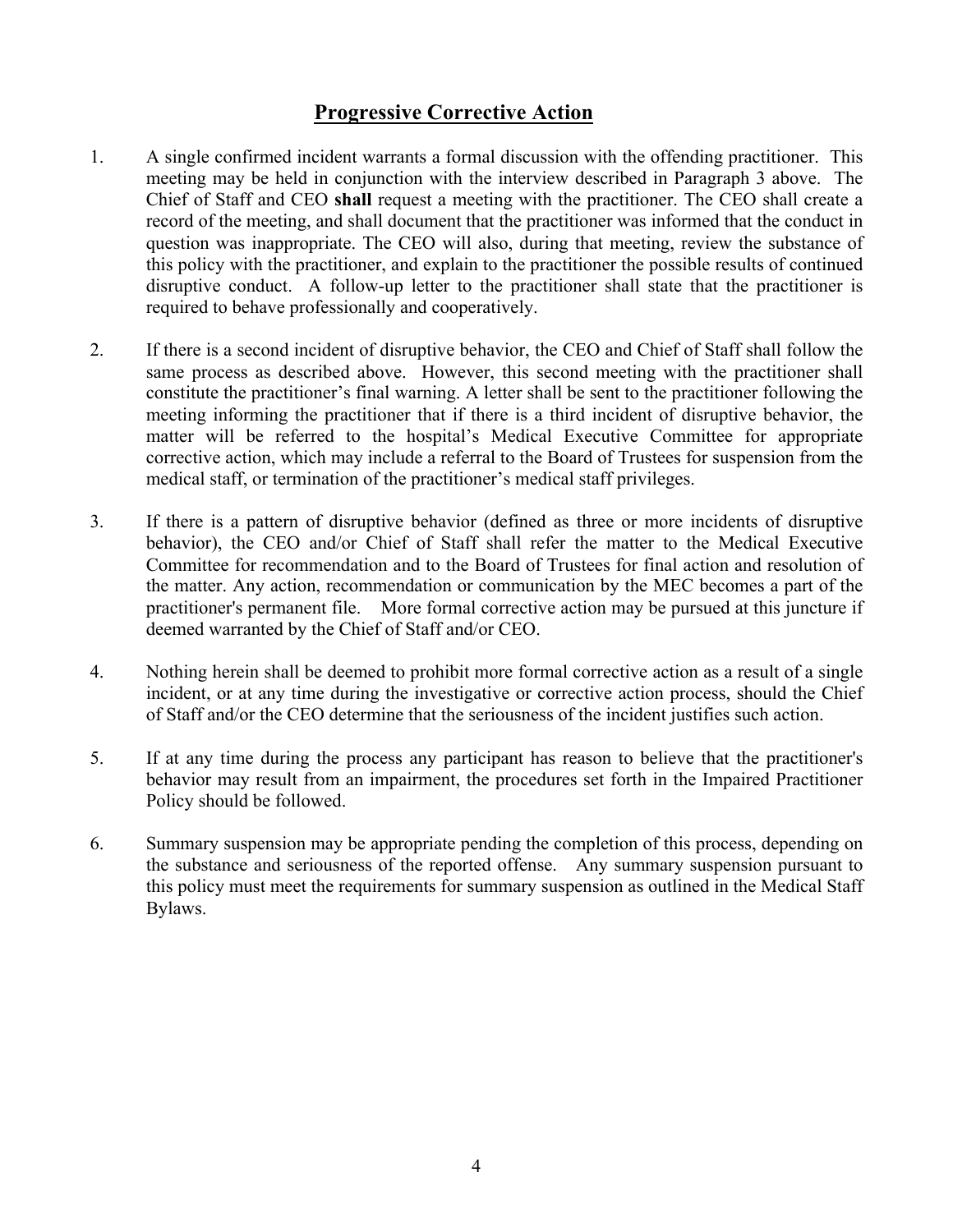## **Progressive Corrective Action**

- 1. A single confirmed incident warrants a formal discussion with the offending practitioner. This meeting may be held in conjunction with the interview described in Paragraph 3 above. The Chief of Staff and CEO **shall** request a meeting with the practitioner. The CEO shall create a record of the meeting, and shall document that the practitioner was informed that the conduct in question was inappropriate. The CEO will also, during that meeting, review the substance of this policy with the practitioner, and explain to the practitioner the possible results of continued disruptive conduct. A follow-up letter to the practitioner shall state that the practitioner is required to behave professionally and cooperatively.
- 2. If there is a second incident of disruptive behavior, the CEO and Chief of Staff shall follow the same process as described above. However, this second meeting with the practitioner shall constitute the practitioner's final warning. A letter shall be sent to the practitioner following the meeting informing the practitioner that if there is a third incident of disruptive behavior, the matter will be referred to the hospital's Medical Executive Committee for appropriate corrective action, which may include a referral to the Board of Trustees for suspension from the medical staff, or termination of the practitioner's medical staff privileges.
- 3. If there is a pattern of disruptive behavior (defined as three or more incidents of disruptive behavior), the CEO and/or Chief of Staff shall refer the matter to the Medical Executive Committee for recommendation and to the Board of Trustees for final action and resolution of the matter. Any action, recommendation or communication by the MEC becomes a part of the practitioner's permanent file. More formal corrective action may be pursued at this juncture if deemed warranted by the Chief of Staff and/or CEO.
- 4. Nothing herein shall be deemed to prohibit more formal corrective action as a result of a single incident, or at any time during the investigative or corrective action process, should the Chief of Staff and/or the CEO determine that the seriousness of the incident justifies such action.
- 5. If at any time during the process any participant has reason to believe that the practitioner's behavior may result from an impairment, the procedures set forth in the Impaired Practitioner Policy should be followed.
- 6. Summary suspension may be appropriate pending the completion of this process, depending on the substance and seriousness of the reported offense. Any summary suspension pursuant to this policy must meet the requirements for summary suspension as outlined in the Medical Staff Bylaws.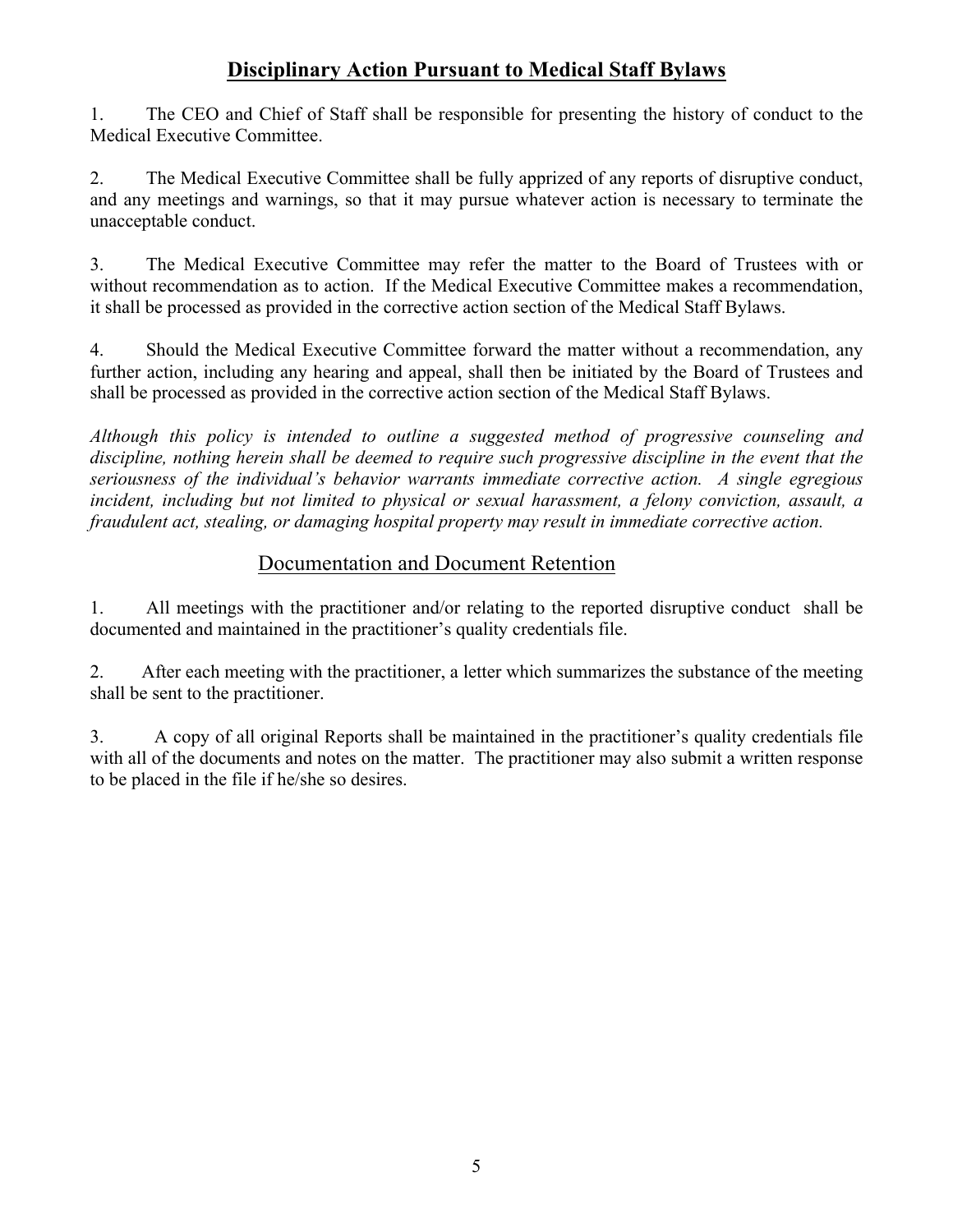## **Disciplinary Action Pursuant to Medical Staff Bylaws**

1. The CEO and Chief of Staff shall be responsible for presenting the history of conduct to the Medical Executive Committee.

2. The Medical Executive Committee shall be fully apprized of any reports of disruptive conduct, and any meetings and warnings, so that it may pursue whatever action is necessary to terminate the unacceptable conduct.

3. The Medical Executive Committee may refer the matter to the Board of Trustees with or without recommendation as to action. If the Medical Executive Committee makes a recommendation, it shall be processed as provided in the corrective action section of the Medical Staff Bylaws.

4. Should the Medical Executive Committee forward the matter without a recommendation, any further action, including any hearing and appeal, shall then be initiated by the Board of Trustees and shall be processed as provided in the corrective action section of the Medical Staff Bylaws.

*Although this policy is intended to outline a suggested method of progressive counseling and discipline, nothing herein shall be deemed to require such progressive discipline in the event that the seriousness of the individual's behavior warrants immediate corrective action. A single egregious incident, including but not limited to physical or sexual harassment, a felony conviction, assault, a fraudulent act, stealing, or damaging hospital property may result in immediate corrective action.*

## Documentation and Document Retention

1. All meetings with the practitioner and/or relating to the reported disruptive conduct shall be documented and maintained in the practitioner's quality credentials file.

2. After each meeting with the practitioner, a letter which summarizes the substance of the meeting shall be sent to the practitioner.

3. A copy of all original Reports shall be maintained in the practitioner's quality credentials file with all of the documents and notes on the matter. The practitioner may also submit a written response to be placed in the file if he/she so desires.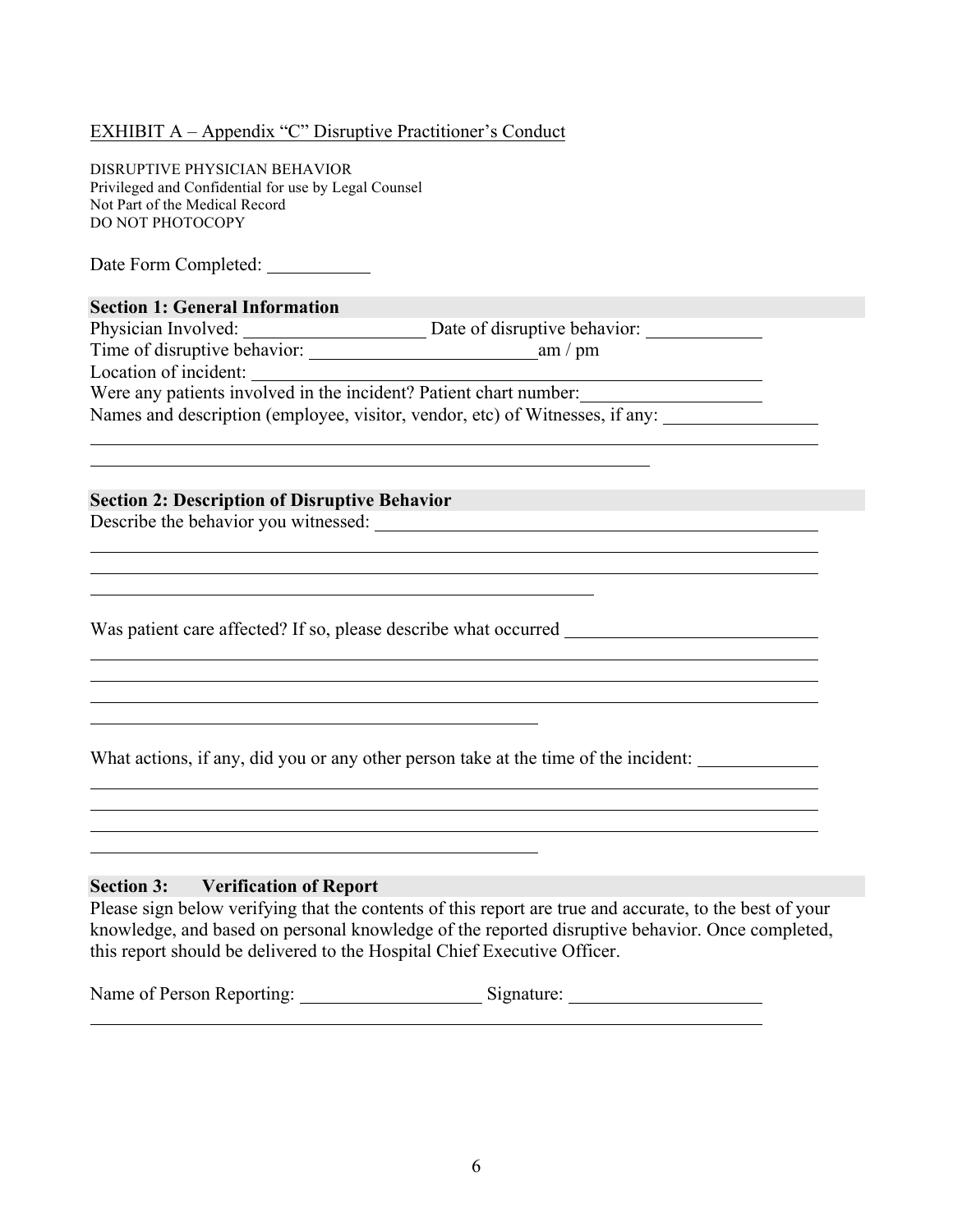#### EXHIBIT A – Appendix "C" Disruptive Practitioner's Conduct

DISRUPTIVE PHYSICIAN BEHAVIOR Privileged and Confidential for use by Legal Counsel Not Part of the Medical Record DO NOT PHOTOCOPY

Date Form Completed:

#### **Section 1: General Information**

Physician Involved: Date of disruptive behavior: Time of disruptive behavior: am / pm Location of incident: Were any patients involved in the incident? Patient chart number: Names and description (employee, visitor, vendor, etc) of Witnesses, if any:

#### **Section 2: Description of Disruptive Behavior**

Describe the behavior you witnessed:

Was patient care affected? If so, please describe what occurred

What actions, if any, did you or any other person take at the time of the incident:

#### **Section 3: Verification of Report**

Please sign below verifying that the contents of this report are true and accurate, to the best of your knowledge, and based on personal knowledge of the reported disruptive behavior. Once completed, this report should be delivered to the Hospital Chief Executive Officer.

| Name of Person Reporting: | Signature: |
|---------------------------|------------|
|---------------------------|------------|